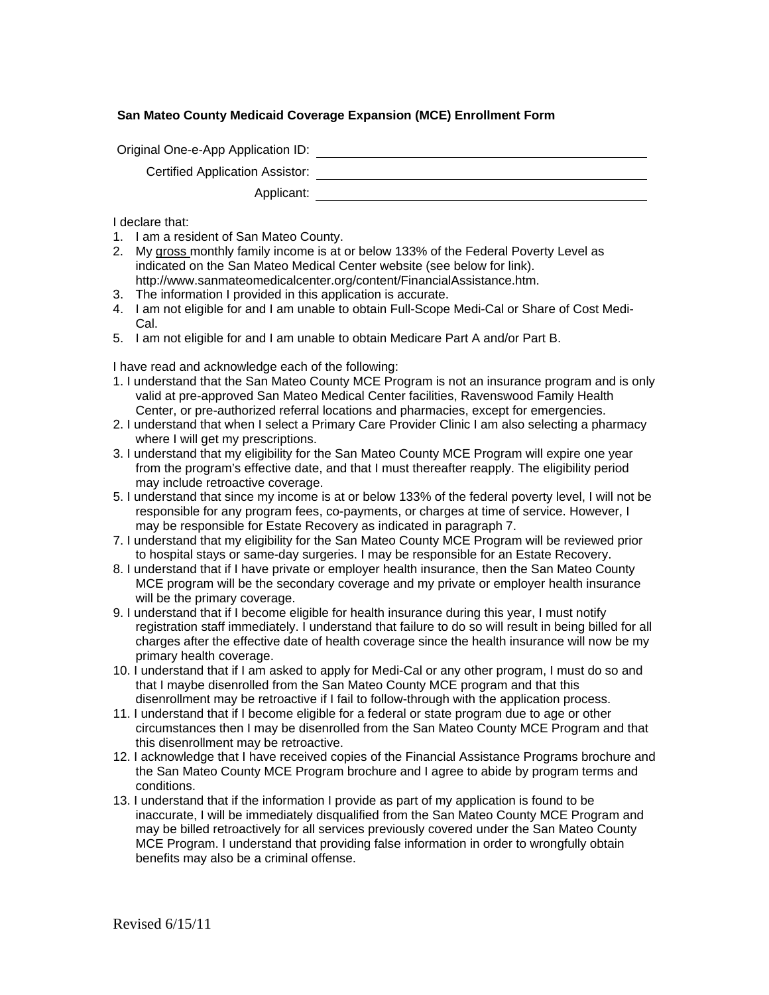## **San Mateo County Medicaid Coverage Expansion (MCE) Enrollment Form**

Original One-e-App Application ID:

Certified Application Assistor:

Applicant:

I declare that:

- 1. I am a resident of San Mateo County.
- 2. My gross monthly family income is at or below 133% of the Federal Poverty Level as indicated on the San Mateo Medical Center website (see below for link). http://www.sanmateomedicalcenter.org/content/FinancialAssistance.htm.
- 3. The information I provided in this application is accurate.
- 4. I am not eligible for and I am unable to obtain Full-Scope Medi-Cal or Share of Cost Medi-Cal.
- 5. I am not eligible for and I am unable to obtain Medicare Part A and/or Part B.

I have read and acknowledge each of the following:

- 1. I understand that the San Mateo County MCE Program is not an insurance program and is only valid at pre-approved San Mateo Medical Center facilities, Ravenswood Family Health Center, or pre-authorized referral locations and pharmacies, except for emergencies.
- 2. I understand that when I select a Primary Care Provider Clinic I am also selecting a pharmacy where I will get my prescriptions.
- 3. I understand that my eligibility for the San Mateo County MCE Program will expire one year from the program's effective date, and that I must thereafter reapply. The eligibility period may include retroactive coverage.
- 5. I understand that since my income is at or below 133% of the federal poverty level, I will not be responsible for any program fees, co-payments, or charges at time of service. However, I may be responsible for Estate Recovery as indicated in paragraph 7.
- 7. I understand that my eligibility for the San Mateo County MCE Program will be reviewed prior to hospital stays or same-day surgeries. I may be responsible for an Estate Recovery.
- 8. I understand that if I have private or employer health insurance, then the San Mateo County MCE program will be the secondary coverage and my private or employer health insurance will be the primary coverage.
- 9. I understand that if I become eligible for health insurance during this year, I must notify registration staff immediately. I understand that failure to do so will result in being billed for all charges after the effective date of health coverage since the health insurance will now be my primary health coverage.
- 10. I understand that if I am asked to apply for Medi-Cal or any other program, I must do so and that I maybe disenrolled from the San Mateo County MCE program and that this disenrollment may be retroactive if I fail to follow-through with the application process.
- 11. I understand that if I become eligible for a federal or state program due to age or other circumstances then I may be disenrolled from the San Mateo County MCE Program and that this disenrollment may be retroactive.
- 12. I acknowledge that I have received copies of the Financial Assistance Programs brochure and the San Mateo County MCE Program brochure and I agree to abide by program terms and conditions.
- 13. I understand that if the information I provide as part of my application is found to be inaccurate, I will be immediately disqualified from the San Mateo County MCE Program and may be billed retroactively for all services previously covered under the San Mateo County MCE Program. I understand that providing false information in order to wrongfully obtain benefits may also be a criminal offense.